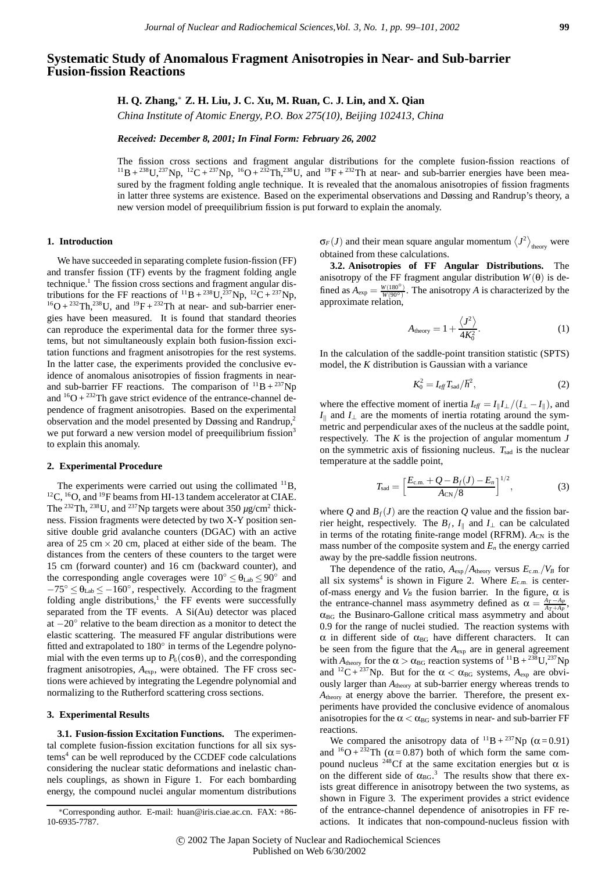# **Systematic Study of Anomalous Fragment Anisotropies in Near- and Sub-barrier Fusion-fission Reactions**

# **H. Q. Zhang,**<sup>∗</sup> **Z. H. Liu, J. C. Xu, M. Ruan, C. J. Lin, and X. Qian**

*China Institute of Atomic Energy, P.O. Box 275(10), Beijing 102413, China*

*Received: December 8, 2001; In Final Form: February 26, 2002*

The fission cross sections and fragment angular distributions for the complete fusion-fission reactions of  $^{11}B + ^{238}U, ^{237}Np, ^{12}C + ^{237}Np, ^{16}O + ^{232}Th, ^{238}U,$  and  $^{19}F + ^{232}Th$  at near- and sub-barrier energies have been measured by the fragment folding angle technique. It is revealed that the anomalous anisotropies of fission fragments in latter three systems are existence. Based on the experimental observations and Døssing and Randrup's theory, a new version model of preequilibrium fission is put forward to explain the anomaly.

#### **1. Introduction**

We have succeeded in separating complete fusion-fission (FF) and transfer fission (TF) events by the fragment folding angle technique.<sup>1</sup> The fission cross sections and fragment angular distributions for the FF reactions of  $^{11}B + ^{238}U, ^{237}Np, ^{12}\tilde{C} + ^{237}Np,$  $^{16}O + ^{232}Th$ ,  $^{238}U$ , and  $^{19}F + ^{232}Th$  at near- and sub-barrier energies have been measured. It is found that standard theories can reproduce the experimental data for the former three systems, but not simultaneously explain both fusion-fission excitation functions and fragment anisotropies for the rest systems. In the latter case, the experiments provided the conclusive evidence of anomalous anisotropies of fission fragments in nearand sub-barrier FF reactions. The comparison of  ${}^{11}B + {}^{237}Np$ and  ${}^{16}O + {}^{232}Th$  gave strict evidence of the entrance-channel dependence of fragment anisotropies. Based on the experimental observation and the model presented by Døssing and Randrup,2 we put forward a new version model of preequilibrium fission<sup>3</sup> to explain this anomaly.

#### **2. Experimental Procedure**

The experiments were carried out using the collimated  $^{11}B$ , <sup>12</sup>C, <sup>16</sup>O, and <sup>19</sup>F beams from HI-13 tandem accelerator at CIAE. The <sup>232</sup>Th, <sup>238</sup>U, and <sup>237</sup>Np targets were about 350  $\mu$ g/cm<sup>2</sup> thickness. Fission fragments were detected by two X-Y position sensitive double grid avalanche counters (DGAC) with an active area of 25 cm  $\times$  20 cm, placed at either side of the beam. The distances from the centers of these counters to the target were 15 cm (forward counter) and 16 cm (backward counter), and the corresponding angle coverages were  $10^{\circ} \le \theta_{\text{Lab}} \le 90^{\circ}$  and  $-75^{\circ} \le \theta_{\text{Lab}} \le -160^{\circ}$ , respectively. According to the fragment folding angle distributions, $\frac{1}{1}$  the FF events were successfully separated from the TF events. A Si(Au) detector was placed at −20◦ relative to the beam direction as a monitor to detect the elastic scattering. The measured FF angular distributions were fitted and extrapolated to 180° in terms of the Legendre polynomial with the even terms up to  $P_6(\cos\theta)$ , and the corresponding fragment anisotropies, *A*exp, were obtained. The FF cross sections were achieved by integrating the Legendre polynomial and normalizing to the Rutherford scattering cross sections.

#### **3. Experimental Results**

**3.1. Fusion-fission Excitation Functions.** The experimental complete fusion-fission excitation functions for all six sys $tems<sup>4</sup>$  can be well reproduced by the CCDEF code calculations considering the nuclear static deformations and inelastic channels couplings, as shown in Figure 1. For each bombarding energy, the compound nuclei angular momentum distributions  $\sigma_F(J)$  and their mean square angular momentum  $\langle J^2 \rangle_{\text{theory}}$  were obtained from these calculations.

**3.2. Anisotropies of FF Angular Distributions.** The anisotropy of the FF fragment angular distribution  $W(\theta)$  is defined as  $A_{\text{exp}} = \frac{W(180^{\circ})}{W(90^{\circ})}$ . The anisotropy *A* is characterized by the approximate relation,

$$
A_{\text{theory}} = 1 + \frac{\langle J^2 \rangle}{4K_0^2}.
$$
 (1)

In the calculation of the saddle-point transition statistic (SPTS) model, the *K* distribution is Gaussian with a variance

$$
K_0^2 = I_{\text{eff}} T_{\text{sad}} / \hbar^2, \qquad (2)
$$

where the effective moment of inertia  $I_{\text{eff}} = I_{\parallel} I_{\perp}/(I_{\perp} - I_{\parallel})$ , and *I* $\parallel$  and *I*<sup>⊥</sup> are the moments of inertia rotating around the symmetric and perpendicular axes of the nucleus at the saddle point, respectively. The *K* is the projection of angular momentum *J* on the symmetric axis of fissioning nucleus.  $T_{\text{sad}}$  is the nuclear temperature at the saddle point,

$$
T_{\text{sad}} = \left[\frac{E_{\text{c.m.}} + Q - B_f(J) - E_n}{A_{\text{CN}}/8}\right]^{1/2},\tag{3}
$$

where Q and  $B_f(J)$  are the reaction Q value and the fission barrier height, respectively. The  $B_f$ ,  $I_{\parallel}$  and  $I_{\perp}$  can be calculated in terms of the rotating finite-range model (RFRM).  $A_{CN}$  is the mass number of the composite system and  $E_n$  the energy carried away by the pre-saddle fission neutrons.

The dependence of the ratio,  $A_{\text{exp}}/A_{\text{theory}}$  versus  $E_{\text{c.m.}}/V_B$  for all six systems<sup>4</sup> is shown in Figure 2. Where  $E_{c.m.}$  is centerof-mass energy and  $V_B$  the fusion barrier. In the figure,  $\alpha$  is the entrance-channel mass asymmetry defined as  $\alpha = \frac{A_T - A_P}{A_T + A_P}$ ,  $\alpha_{BG}$  the Businaro-Gallone critical mass asymmetry and about 0.9 for the range of nuclei studied. The reaction systems with  $\alpha$  in different side of  $\alpha_{BG}$  have different characters. It can be seen from the figure that the *A*exp are in general agreement with  $A_{\text{theory}}$  for the  $\alpha > \alpha_{\text{BG}}$  reaction systems of <sup>11</sup>B + <sup>238</sup>U,<sup>237</sup>Np and <sup>12</sup>C + <sup>237</sup>Np. But for the  $\alpha < \alpha_{BG}$  systems,  $A_{exp}$  are obviously larger than  $A_{\text{theory}}$  at sub-barrier energy whereas trends to *A*theory at energy above the barrier. Therefore, the present experiments have provided the conclusive evidence of anomalous anisotropies for the  $\alpha < \alpha_{BG}$  systems in near- and sub-barrier FF reactions.

We compared the anisotropy data of  ${}^{11}B + {}^{237}Np$  ( $\alpha$  = 0.91) and  ${}^{16}O + {}^{232}Th$  ( $\alpha = 0.87$ ) both of which form the same compound nucleus <sup>248</sup>Cf at the same excitation energies but α is on the different side of  $\alpha_{BG}$ <sup>3</sup>. The results show that there exists great difference in anisotropy between the two systems, as shown in Figure 3. The experiment provides a strict evidence of the entrance-channel dependence of anisotropies in FF reactions. It indicates that non-compound-nucleus fission with

<sup>∗</sup>Corresponding author. E-mail: huan@iris.ciae.ac.cn. FAX: +86- 10-6935-7787.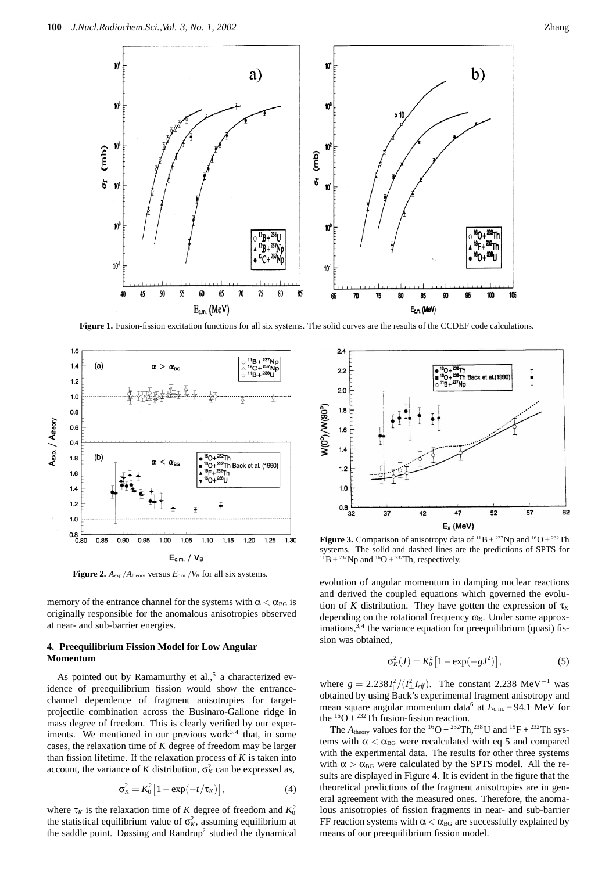

**Figure 1.** Fusion-fission excitation functions for all six systems. The solid curves are the results of the CCDEF code calculations.



**Figure 2.**  $A_{\text{exp}}/A_{\text{theory}}$  versus  $E_{\text{c.m.}}/V_B$  for all six systems.

memory of the entrance channel for the systems with  $\alpha < \alpha_{BG}$  is originally responsible for the anomalous anisotropies observed at near- and sub-barrier energies.

### **4. Preequilibrium Fission Model for Low Angular Momentum**

As pointed out by Ramamurthy et al., $5$  a characterized evidence of preequilibrium fission would show the entrancechannel dependence of fragment anisotropies for targetprojectile combination across the Businaro-Gallone ridge in mass degree of freedom. This is clearly verified by our experiments. We mentioned in our previous work<sup>3,4</sup> that, in some cases, the relaxation time of *K* degree of freedom may be larger than fission lifetime. If the relaxation process of *K* is taken into account, the variance of *K* distribution,  $\sigma_K^2$  can be expressed as,

$$
\sigma_K^2 = K_0^2 \left[ 1 - \exp(-t/\tau_K) \right],\tag{4}
$$

where  $\tau_K$  is the relaxation time of *K* degree of freedom and  $K_0^2$ the statistical equilibrium value of  $\sigma_k^2$ , assuming equilibrium at the saddle point. Døssing and Randrup<sup>2</sup> studied the dynamical



**Figure 3.** Comparison of anisotropy data of  ${}^{11}B + {}^{237}Np$  and  ${}^{16}O + {}^{232}Th$ systems. The solid and dashed lines are the predictions of SPTS for  $^{11}B + ^{237}Np$  and  $^{16}O + ^{232}Th$ , respectively.

evolution of angular momentum in damping nuclear reactions and derived the coupled equations which governed the evolution of *K* distribution. They have gotten the expression of  $\tau$ <sub>K</sub> depending on the rotational frequency ω*R*. Under some approximations,  $3,4$  the variance equation for preequilibrium (quasi) fission was obtained,

$$
\sigma_K^2(J) = K_0^2 \left[ 1 - \exp(-gJ^2) \right],\tag{5}
$$

where  $g = 2.238 I_{\parallel}^2 / (I_{\perp}^2 I_{\text{eff}})$ . The constant 2.238 MeV<sup>-1</sup> was obtained by using Back's experimental fragment anisotropy and mean square angular momentum data<sup>6</sup> at  $E_{c.m.} = 94.1$  MeV for the  ${}^{16}O + {}^{232}Th$  fusion-fission reaction.

The  $A_{\text{theory}}$  values for the <sup>16</sup>O + <sup>232</sup>Th,<sup>238</sup>U and <sup>19</sup>F + <sup>232</sup>Th systems with  $\alpha < \alpha_{BG}$  were recalculated with eq 5 and compared with the experimental data. The results for other three systems with  $\alpha > \alpha_{\text{BG}}$  were calculated by the SPTS model. All the results are displayed in Figure 4. It is evident in the figure that the theoretical predictions of the fragment anisotropies are in general agreement with the measured ones. Therefore, the anomalous anisotropies of fission fragments in near- and sub-barrier FF reaction systems with  $\alpha < \alpha_{BG}$  are successfully explained by means of our preequilibrium fission model.